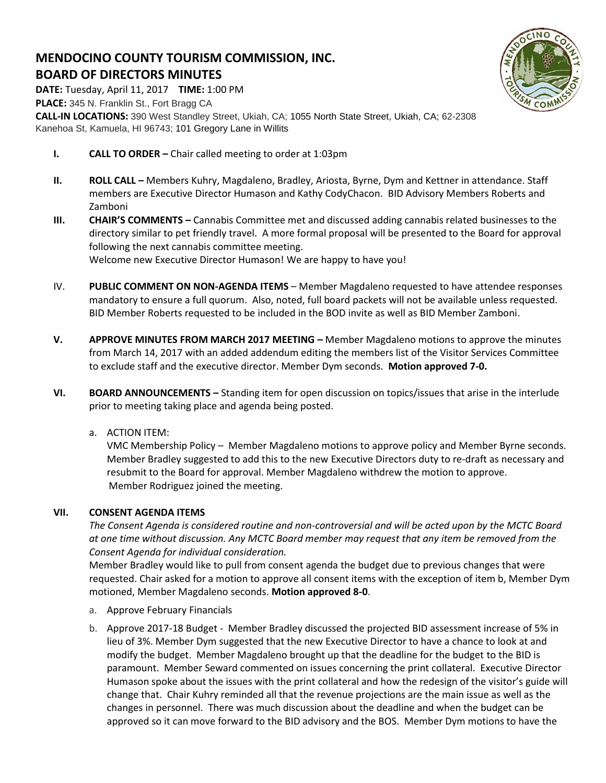# **MENDOCINO COUNTY TOURISM COMMISSION, INC. BOARD OF DIRECTORS MINUTES**

**DATE:** Tuesday, April 11, 2017 **TIME:** 1:00 PM **PLACE:** 345 N. Franklin St., Fort Bragg CA **CALL-IN LOCATIONS:** 390 West Standley Street, Ukiah, CA; 1055 North State Street, Ukiah, CA; 62-2308 Kanehoa St, Kamuela, HI 96743; 101 Gregory Lane in Willits

- **I. CALL TO ORDER –** Chair called meeting to order at 1:03pm
- **II. ROLL CALL –** Members Kuhry, Magdaleno, Bradley, Ariosta, Byrne, Dym and Kettner in attendance. Staff members are Executive Director Humason and Kathy CodyChacon. BID Advisory Members Roberts and Zamboni
- **III. CHAIR'S COMMENTS –** Cannabis Committee met and discussed adding cannabis related businesses to the directory similar to pet friendly travel. A more formal proposal will be presented to the Board for approval following the next cannabis committee meeting. Welcome new Executive Director Humason! We are happy to have you!
- IV. **PUBLIC COMMENT ON NON-AGENDA ITEMS** Member Magdaleno requested to have attendee responses mandatory to ensure a full quorum. Also, noted, full board packets will not be available unless requested. BID Member Roberts requested to be included in the BOD invite as well as BID Member Zamboni.
- **V. APPROVE MINUTES FROM MARCH 2017 MEETING –** Member Magdaleno motions to approve the minutes from March 14, 2017 with an added addendum editing the members list of the Visitor Services Committee to exclude staff and the executive director. Member Dym seconds. **Motion approved 7-0.**
- **VI. BOARD ANNOUNCEMENTS –** Standing item for open discussion on topics/issues that arise in the interlude prior to meeting taking place and agenda being posted.
	- a. ACTION ITEM:

VMC Membership Policy – Member Magdaleno motions to approve policy and Member Byrne seconds. Member Bradley suggested to add this to the new Executive Directors duty to re-draft as necessary and resubmit to the Board for approval. Member Magdaleno withdrew the motion to approve. Member Rodriguez joined the meeting.

## **VII. CONSENT AGENDA ITEMS**

*The Consent Agenda is considered routine and non-controversial and will be acted upon by the MCTC Board at one time without discussion. Any MCTC Board member may request that any item be removed from the Consent Agenda for individual consideration.* 

Member Bradley would like to pull from consent agenda the budget due to previous changes that were requested. Chair asked for a motion to approve all consent items with the exception of item b, Member Dym motioned, Member Magdaleno seconds. **Motion approved 8-0**.

- a. Approve February Financials
- b. Approve 2017-18 Budget Member Bradley discussed the projected BID assessment increase of 5% in lieu of 3%. Member Dym suggested that the new Executive Director to have a chance to look at and modify the budget. Member Magdaleno brought up that the deadline for the budget to the BID is paramount. Member Seward commented on issues concerning the print collateral. Executive Director Humason spoke about the issues with the print collateral and how the redesign of the visitor's guide will change that. Chair Kuhry reminded all that the revenue projections are the main issue as well as the changes in personnel. There was much discussion about the deadline and when the budget can be approved so it can move forward to the BID advisory and the BOS. Member Dym motions to have the

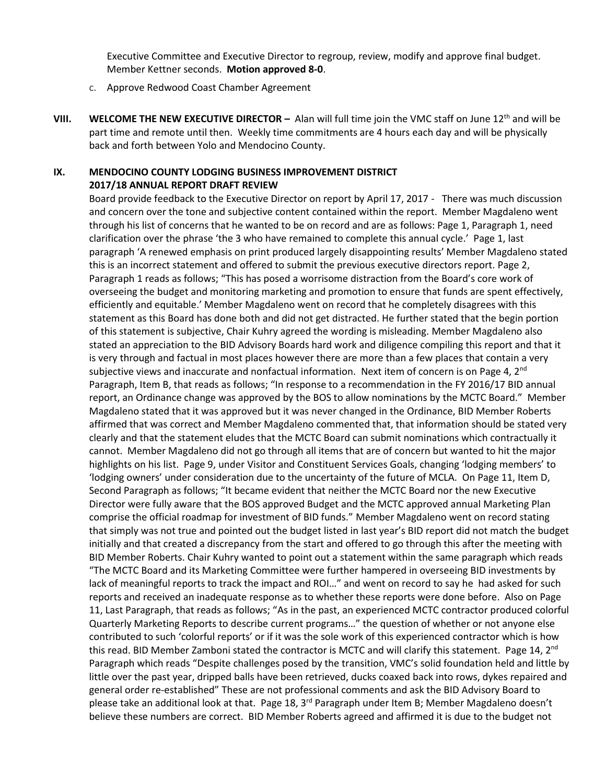Executive Committee and Executive Director to regroup, review, modify and approve final budget. Member Kettner seconds. **Motion approved 8-0**.

- c. Approve Redwood Coast Chamber Agreement
- **VIII.** WELCOME THE NEW EXECUTIVE DIRECTOR Alan will full time join the VMC staff on June 12<sup>th</sup> and will be part time and remote until then. Weekly time commitments are 4 hours each day and will be physically back and forth between Yolo and Mendocino County.

## **IX. MENDOCINO COUNTY LODGING BUSINESS IMPROVEMENT DISTRICT 2017/18 ANNUAL REPORT DRAFT REVIEW**

Board provide feedback to the Executive Director on report by April 17, 2017 - There was much discussion and concern over the tone and subjective content contained within the report. Member Magdaleno went through his list of concerns that he wanted to be on record and are as follows: Page 1, Paragraph 1, need clarification over the phrase 'the 3 who have remained to complete this annual cycle.' Page 1, last paragraph 'A renewed emphasis on print produced largely disappointing results' Member Magdaleno stated this is an incorrect statement and offered to submit the previous executive directors report. Page 2, Paragraph 1 reads as follows; "This has posed a worrisome distraction from the Board's core work of overseeing the budget and monitoring marketing and promotion to ensure that funds are spent effectively, efficiently and equitable.' Member Magdaleno went on record that he completely disagrees with this statement as this Board has done both and did not get distracted. He further stated that the begin portion of this statement is subjective, Chair Kuhry agreed the wording is misleading. Member Magdaleno also stated an appreciation to the BID Advisory Boards hard work and diligence compiling this report and that it is very through and factual in most places however there are more than a few places that contain a very subjective views and inaccurate and nonfactual information. Next item of concern is on Page 4,  $2<sup>nd</sup>$ Paragraph, Item B, that reads as follows; "In response to a recommendation in the FY 2016/17 BID annual report, an Ordinance change was approved by the BOS to allow nominations by the MCTC Board." Member Magdaleno stated that it was approved but it was never changed in the Ordinance, BID Member Roberts affirmed that was correct and Member Magdaleno commented that, that information should be stated very clearly and that the statement eludes that the MCTC Board can submit nominations which contractually it cannot. Member Magdaleno did not go through all items that are of concern but wanted to hit the major highlights on his list. Page 9, under Visitor and Constituent Services Goals, changing 'lodging members' to 'lodging owners' under consideration due to the uncertainty of the future of MCLA. On Page 11, Item D, Second Paragraph as follows; "It became evident that neither the MCTC Board nor the new Executive Director were fully aware that the BOS approved Budget and the MCTC approved annual Marketing Plan comprise the official roadmap for investment of BID funds." Member Magdaleno went on record stating that simply was not true and pointed out the budget listed in last year's BID report did not match the budget initially and that created a discrepancy from the start and offered to go through this after the meeting with BID Member Roberts. Chair Kuhry wanted to point out a statement within the same paragraph which reads "The MCTC Board and its Marketing Committee were further hampered in overseeing BID investments by lack of meaningful reports to track the impact and ROI…" and went on record to say he had asked for such reports and received an inadequate response as to whether these reports were done before. Also on Page 11, Last Paragraph, that reads as follows; "As in the past, an experienced MCTC contractor produced colorful Quarterly Marketing Reports to describe current programs…" the question of whether or not anyone else contributed to such 'colorful reports' or if it was the sole work of this experienced contractor which is how this read. BID Member Zamboni stated the contractor is MCTC and will clarify this statement. Page 14, 2<sup>nd</sup> Paragraph which reads "Despite challenges posed by the transition, VMC's solid foundation held and little by little over the past year, dripped balls have been retrieved, ducks coaxed back into rows, dykes repaired and general order re-established" These are not professional comments and ask the BID Advisory Board to please take an additional look at that. Page 18, 3<sup>rd</sup> Paragraph under Item B; Member Magdaleno doesn't believe these numbers are correct. BID Member Roberts agreed and affirmed it is due to the budget not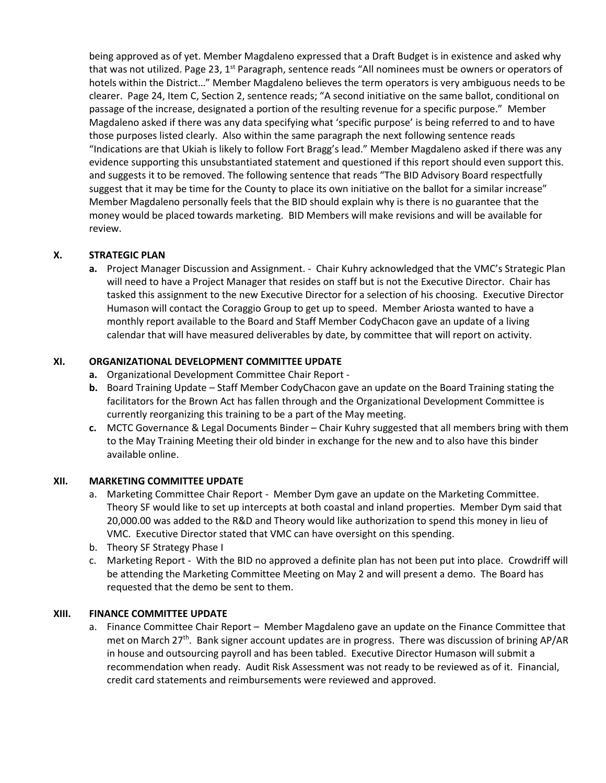being approved as of yet. Member Magdaleno expressed that a Draft Budget is in existence and asked why that was not utilized. Page 23,  $1<sup>st</sup>$  Paragraph, sentence reads "All nominees must be owners or operators of hotels within the District…" Member Magdaleno believes the term operators is very ambiguous needs to be clearer. Page 24, Item C, Section 2, sentence reads; "A second initiative on the same ballot, conditional on passage of the increase, designated a portion of the resulting revenue for a specific purpose." Member Magdaleno asked if there was any data specifying what 'specific purpose' is being referred to and to have those purposes listed clearly. Also within the same paragraph the next following sentence reads "Indications are that Ukiah is likely to follow Fort Bragg's lead." Member Magdaleno asked if there was any evidence supporting this unsubstantiated statement and questioned if this report should even support this. and suggests it to be removed. The following sentence that reads "The BID Advisory Board respectfully suggest that it may be time for the County to place its own initiative on the ballot for a similar increase" Member Magdaleno personally feels that the BID should explain why is there is no guarantee that the money would be placed towards marketing. BID Members will make revisions and will be available for review.

## **X. STRATEGIC PLAN**

**a.** Project Manager Discussion and Assignment. - Chair Kuhry acknowledged that the VMC's Strategic Plan will need to have a Project Manager that resides on staff but is not the Executive Director. Chair has tasked this assignment to the new Executive Director for a selection of his choosing. Executive Director Humason will contact the Coraggio Group to get up to speed. Member Ariosta wanted to have a monthly report available to the Board and Staff Member CodyChacon gave an update of a living calendar that will have measured deliverables by date, by committee that will report on activity.

## **XI. ORGANIZATIONAL DEVELOPMENT COMMITTEE UPDATE**

- **a.** Organizational Development Committee Chair Report -
- **b.** Board Training Update Staff Member CodyChacon gave an update on the Board Training stating the facilitators for the Brown Act has fallen through and the Organizational Development Committee is currently reorganizing this training to be a part of the May meeting.
- **c.** MCTC Governance & Legal Documents Binder Chair Kuhry suggested that all members bring with them to the May Training Meeting their old binder in exchange for the new and to also have this binder available online.

## **XII. MARKETING COMMITTEE UPDATE**

- a. Marketing Committee Chair Report Member Dym gave an update on the Marketing Committee. Theory SF would like to set up intercepts at both coastal and inland properties. Member Dym said that 20,000.00 was added to the R&D and Theory would like authorization to spend this money in lieu of VMC. Executive Director stated that VMC can have oversight on this spending.
- b. Theory SF Strategy Phase I
- c. Marketing Report With the BID no approved a definite plan has not been put into place. Crowdriff will be attending the Marketing Committee Meeting on May 2 and will present a demo. The Board has requested that the demo be sent to them.

## **XIII. FINANCE COMMITTEE UPDATE**

a. Finance Committee Chair Report – Member Magdaleno gave an update on the Finance Committee that met on March 27<sup>th</sup>. Bank signer account updates are in progress. There was discussion of brining AP/AR in house and outsourcing payroll and has been tabled. Executive Director Humason will submit a recommendation when ready. Audit Risk Assessment was not ready to be reviewed as of it. Financial, credit card statements and reimbursements were reviewed and approved.